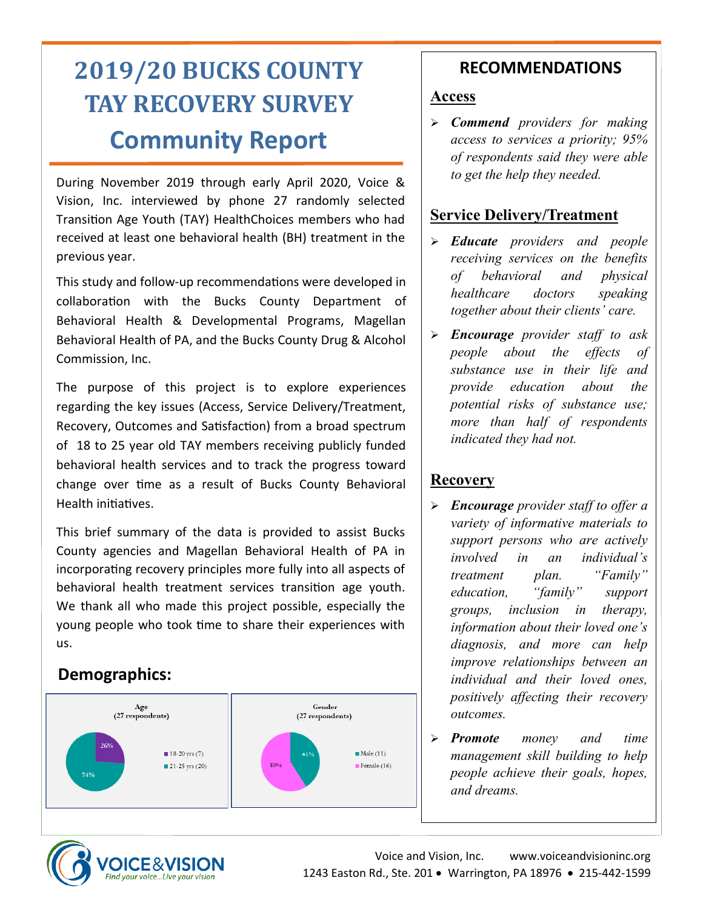# **2019/20 BUCKS COUNTY TAY RECOVERY SURVEY Community Report**

During November 2019 through early April 2020, Voice & Vision, Inc. interviewed by phone 27 randomly selected Transition Age Youth (TAY) HealthChoices members who had received at least one behavioral health (BH) treatment in the previous year.

This study and follow-up recommendations were developed in collaboration with the Bucks County Department of Behavioral Health & Developmental Programs, Magellan Behavioral Health of PA, and the Bucks County Drug & Alcohol Commission, Inc.

The purpose of this project is to explore experiences regarding the key issues (Access, Service Delivery/Treatment, Recovery, Outcomes and Satisfaction) from a broad spectrum of 18 to 25 year old TAY members receiving publicly funded behavioral health services and to track the progress toward change over time as a result of Bucks County Behavioral Health initiatives.

This brief summary of the data is provided to assist Bucks County agencies and Magellan Behavioral Health of PA in incorporating recovery principles more fully into all aspects of behavioral health treatment services transition age youth. We thank all who made this project possible, especially the young people who took time to share their experiences with us.

## **Demographics:**



## **RECOMMENDATIONS**

### **Access**

➢ *Commend providers for making access to services a priority; 95% of respondents said they were able to get the help they needed.*

## **Service Delivery/Treatment**

- ➢ *Educate providers and people receiving services on the benefits of behavioral and physical healthcare doctors speaking together about their clients' care.*
- ➢ *Encourage provider staff to ask people about the effects of substance use in their life and provide education about the potential risks of substance use; more than half of respondents indicated they had not.*

## **Recovery**

- ➢ *Encourage provider staff to offer a variety of informative materials to support persons who are actively involved in an individual's treatment plan. "Family" education, "family" support groups, inclusion in therapy, information about their loved one's diagnosis, and more can help improve relationships between an individual and their loved ones, positively affecting their recovery outcomes.*
- ➢ *Promote money and time management skill building to help people achieve their goals, hopes, and dreams.*

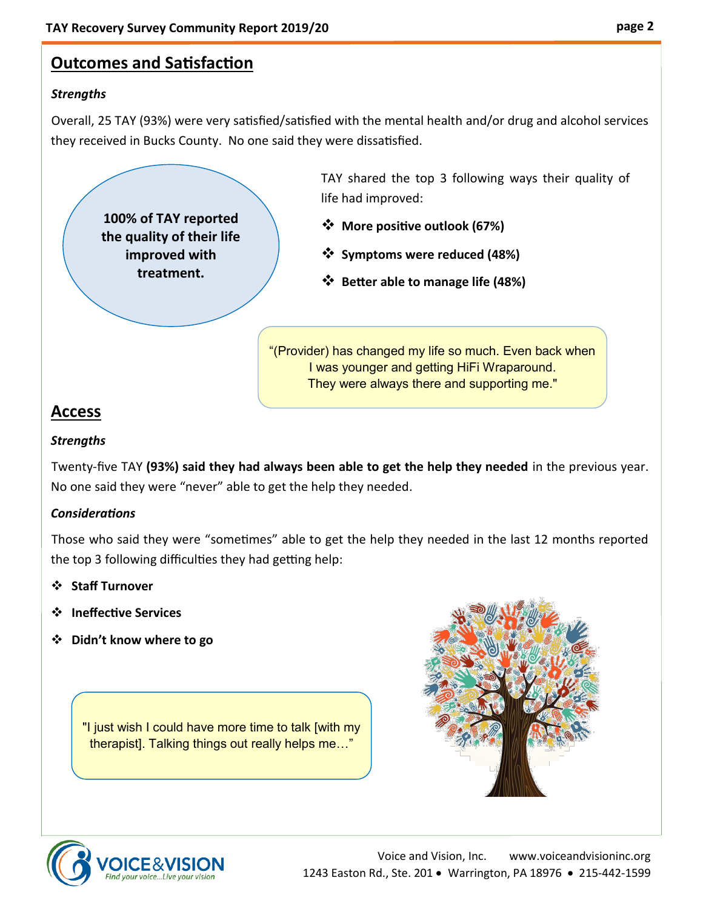## **Outcomes and Satisfaction**

### *Strengths*

Overall, 25 TAY (93%) were very satisfied/satisfied with the mental health and/or drug and alcohol services they received in Bucks County. No one said they were dissatisfied.

**100% of TAY reported the quality of their life improved with treatment.**

TAY shared the top 3 following ways their quality of life had improved:

- ❖ **More positive outlook (67%)**
- ❖ **Symptoms were reduced (48%)**
- ❖ **Better able to manage life (48%)**

"(Provider) has changed my life so much. Even back when I was younger and getting HiFi Wraparound. They were always there and supporting me."

## **Access**

### *Strengths*

Twenty-five TAY **(93%) said they had always been able to get the help they needed** in the previous year. No one said they were "never" able to get the help they needed.

### *Considerations*

Those who said they were "sometimes" able to get the help they needed in the last 12 months reported the top 3 following difficulties they had getting help:

### ❖ **Staff Turnover**

- ❖ **Ineffective Services**
- ❖ **Didn't know where to go**

"I just wish I could have more time to talk [with my therapist]. Talking things out really helps me…"



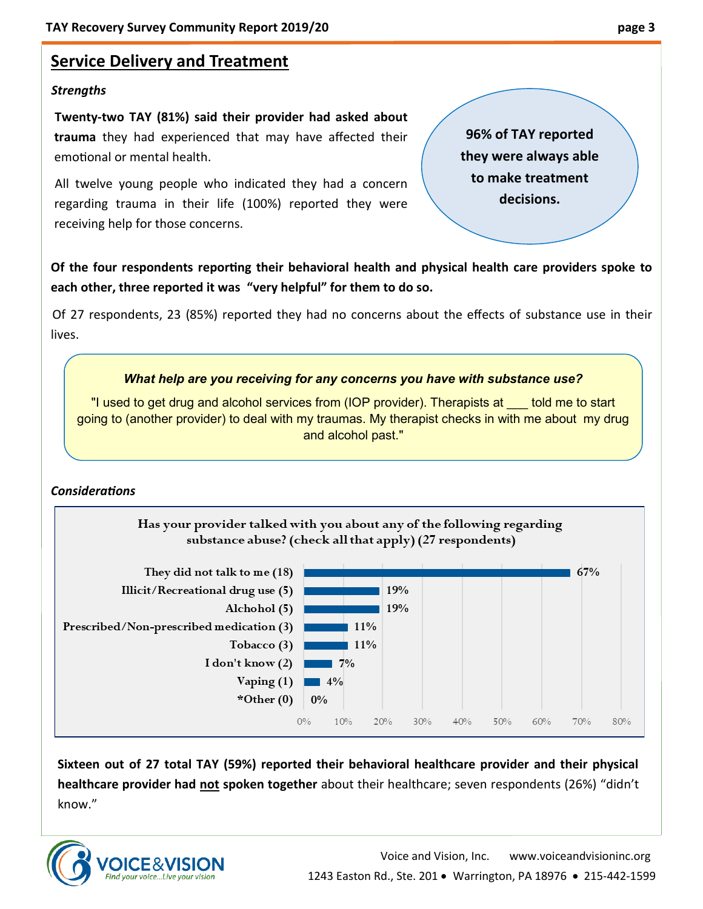## **Service Delivery and Treatment**

#### *Strengths*

**Twenty-two TAY (81%) said their provider had asked about trauma** they had experienced that may have affected their emotional or mental health.

All twelve young people who indicated they had a concern regarding trauma in their life (100%) reported they were receiving help for those concerns.

**Of the four respondents reporting their behavioral health and physical health care providers spoke to each other, three reported it was "very helpful" for them to do so.**

Of 27 respondents, 23 (85%) reported they had no concerns about the effects of substance use in their lives.

#### *What help are you receiving for any concerns you have with substance use?*

"I used to get drug and alcohol services from (IOP provider). Therapists at \_\_\_ told me to start going to (another provider) to deal with my traumas. My therapist checks in with me about my drug and alcohol past."

#### *Considerations*



**Sixteen out of 27 total TAY (59%) reported their behavioral healthcare provider and their physical healthcare provider had not spoken together** about their healthcare; seven respondents (26%) "didn't know."



**96% of TAY reported they were always able to make treatment decisions.**